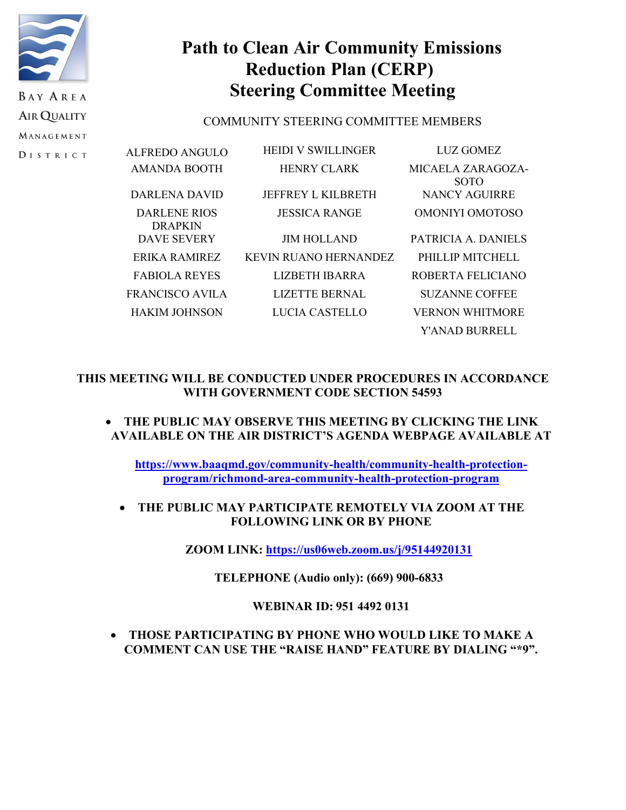

**DISTRICT** 

# **Path to Clean Air Community Emissions Reduction Plan (CERP) Steering Committee Meeting**

# COMMUNITY STEERING COMMITTEE MEMBERS

| ALFREDO ANGULO                 | <b>HEIDI V SWILLINGER</b> | LUZ GOMEZ                        |
|--------------------------------|---------------------------|----------------------------------|
| <b>AMANDA BOOTH</b>            | <b>HENRY CLARK</b>        | MICAELA ZARAGOZA-<br><b>SOTO</b> |
| DARLENA DAVID                  | JEFFREY L KILBRETH        | NANCY AGUIRRE                    |
| DARLENE RIOS<br><b>DRAPKIN</b> | <b>JESSICA RANGE</b>      | OMONIYI OMOTOSO                  |
| DAVE SEVERY                    | <b>JIM HOLLAND</b>        | PATRICIA A. DANIELS              |
| ERIKA RAMIREZ                  | KEVIN RUANO HERNANDEZ     | PHILLIP MITCHELL                 |
| <b>FABIOLA REYES</b>           | LIZBETH IBARRA            | ROBERTA FELICIANO                |
| FRANCISCO AVILA                | <b>LIZETTE BERNAL</b>     | <b>SUZANNE COFFEE</b>            |
| <b>HAKIM JOHNSON</b>           | LUCIA CASTELLO            | <b>VERNON WHITMORE</b>           |
|                                |                           | Y'ANAD BURRELL                   |

# **THIS MEETING WILL BE CONDUCTED UNDER PROCEDURES IN ACCORDANCE WITH GOVERNMENT CODE SECTION 54593**

# • **THE PUBLIC MAY OBSERVE THIS MEETING BY CLICKING THE LINK AVAILABLE ON THE AIR DISTRICT'S AGENDA WEBPAGE AVAILABLE AT**

**[https://www.baaqmd.gov/community-health/community-health-protection](https://www.baaqmd.gov/community-health/community-health-protection-program/richmond-area-community-health-protection-program)[program/richmond-area-community-health-protection-program](https://www.baaqmd.gov/community-health/community-health-protection-program/richmond-area-community-health-protection-program)**

• **THE PUBLIC MAY PARTICIPATE REMOTELY VIA ZOOM AT THE FOLLOWING LINK OR BY PHONE**

**ZOOM LINK: <https://us06web.zoom.us/j/95144920131>**

**TELEPHONE (Audio only): (669) 900-6833**

# **WEBINAR ID: 951 4492 0131**

• **THOSE PARTICIPATING BY PHONE WHO WOULD LIKE TO MAKE A COMMENT CAN USE THE "RAISE HAND" FEATURE BY DIALING "\*9".**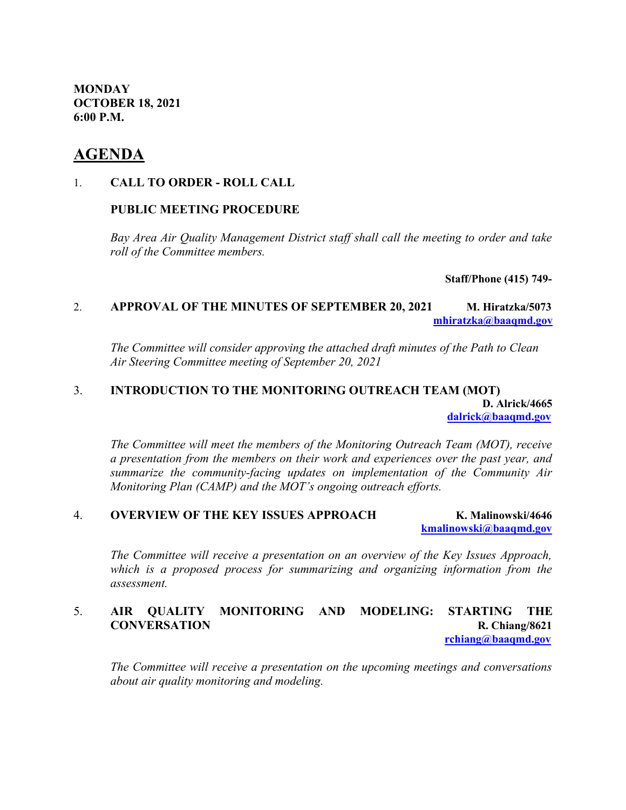**MONDAY OCTOBER 18, 2021 6:00 P.M.**

# **AGENDA**

#### 1. **CALL TO ORDER - ROLL CALL**

### **PUBLIC MEETING PROCEDURE**

*Bay Area Air Quality Management District staff shall call the meeting to order and take roll of the Committee members.* 

**Staff/Phone (415) 749-**

# 2. **APPROVAL OF THE MINUTES OF SEPTEMBER 20, 2021 M. Hiratzka/5073 [mhiratzka@baaqmd.gov](mailto:mhiratzka@baaqmd.gov)**

*The Committee will consider approving the attached draft minutes of the Path to Clean Air Steering Committee meeting of September 20, 2021*

#### 3. **INTRODUCTION TO THE MONITORING OUTREACH TEAM (MOT) D. Alrick/4665 [dalrick@baaqmd.gov](mailto:dalrick@baaqmd.gov)**

*The Committee will meet the members of the Monitoring Outreach Team (MOT), receive a presentation from the members on their work and experiences over the past year, and summarize the community-facing updates on implementation of the Community Air Monitoring Plan (CAMP) and the MOT's ongoing outreach efforts.*

#### 4. **OVERVIEW OF THE KEY ISSUES APPROACH K. Malinowski/4646 [kmalinowski@baaqmd.gov](mailto:kmalinowski@baaqmd.gov)**

*The Committee will receive a presentation on an overview of the Key Issues Approach, which is a proposed process for summarizing and organizing information from the assessment.*

# 5. **AIR QUALITY MONITORING AND MODELING: STARTING THE CONVERSATION R. Chiang/8621**

 **[rchiang@baaqmd.gov](mailto:rchiang@baaqmd.gov)**

*The Committee will receive a presentation on the upcoming meetings and conversations about air quality monitoring and modeling.*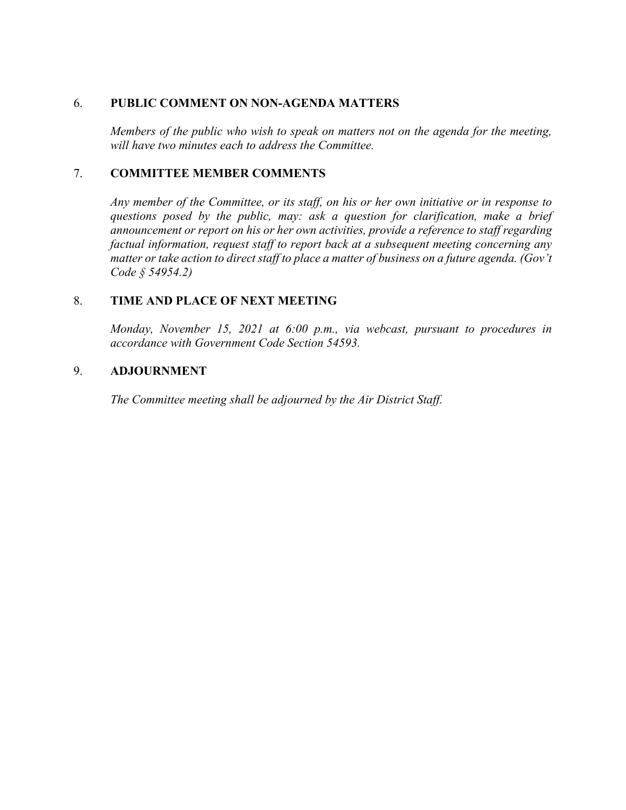#### 6. **PUBLIC COMMENT ON NON-AGENDA MATTERS**

*Members of the public who wish to speak on matters not on the agenda for the meeting, will have two minutes each to address the Committee.*

## 7. **COMMITTEE MEMBER COMMENTS**

*Any member of the Committee, or its staff, on his or her own initiative or in response to questions posed by the public, may: ask a question for clarification, make a brief announcement or report on his or her own activities, provide a reference to staff regarding factual information, request staff to report back at a subsequent meeting concerning any matter or take action to direct staff to place a matter of business on a future agenda. (Gov't Code § 54954.2)*

## 8. **TIME AND PLACE OF NEXT MEETING**

*Monday, November 15, 2021 at 6:00 p.m., via webcast, pursuant to procedures in accordance with Government Code Section 54593.*

## 9. **ADJOURNMENT**

*The Committee meeting shall be adjourned by the Air District Staff.*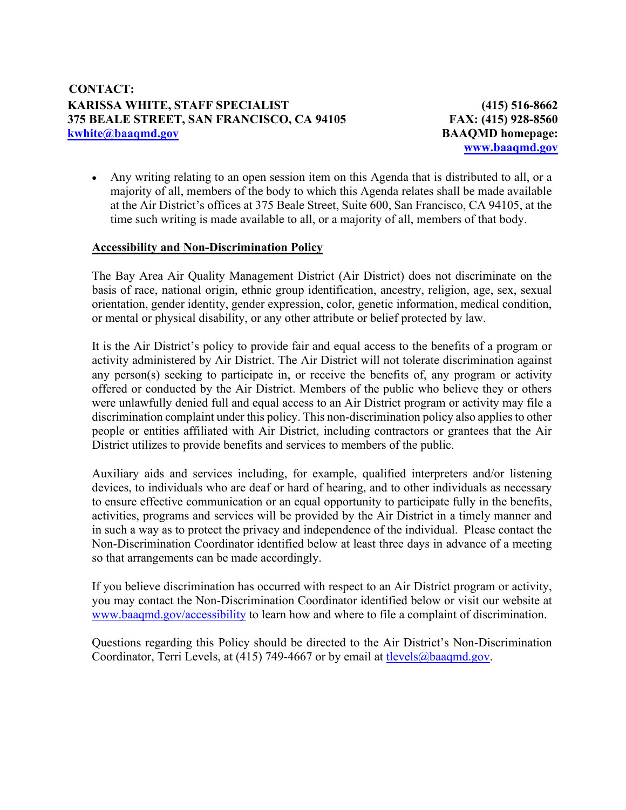**(415) 516-8662 FAX: (415) 928-8560 BAAQMD homepage: [www.baaqmd.gov](http://www.baaqmd.gov/)**

• Any writing relating to an open session item on this Agenda that is distributed to all, or a majority of all, members of the body to which this Agenda relates shall be made available at the Air District's offices at 375 Beale Street, Suite 600, San Francisco, CA 94105, at the time such writing is made available to all, or a majority of all, members of that body.

# **Accessibility and Non-Discrimination Policy**

The Bay Area Air Quality Management District (Air District) does not discriminate on the basis of race, national origin, ethnic group identification, ancestry, religion, age, sex, sexual orientation, gender identity, gender expression, color, genetic information, medical condition, or mental or physical disability, or any other attribute or belief protected by law.

It is the Air District's policy to provide fair and equal access to the benefits of a program or activity administered by Air District. The Air District will not tolerate discrimination against any person(s) seeking to participate in, or receive the benefits of, any program or activity offered or conducted by the Air District. Members of the public who believe they or others were unlawfully denied full and equal access to an Air District program or activity may file a discrimination complaint under this policy. This non-discrimination policy also applies to other people or entities affiliated with Air District, including contractors or grantees that the Air District utilizes to provide benefits and services to members of the public.

Auxiliary aids and services including, for example, qualified interpreters and/or listening devices, to individuals who are deaf or hard of hearing, and to other individuals as necessary to ensure effective communication or an equal opportunity to participate fully in the benefits, activities, programs and services will be provided by the Air District in a timely manner and in such a way as to protect the privacy and independence of the individual. Please contact the Non-Discrimination Coordinator identified below at least three days in advance of a meeting so that arrangements can be made accordingly.

If you believe discrimination has occurred with respect to an Air District program or activity, you may contact the Non-Discrimination Coordinator identified below or visit our website at [www.baaqmd.gov/accessibility](http://www.baaqmd.gov/accessibility) to learn how and where to file a complaint of discrimination.

Questions regarding this Policy should be directed to the Air District's Non-Discrimination Coordinator, Terri Levels, at (415) 749-4667 or by email at [tlevels@baaqmd.gov.](mailto:tlevels@baaqmd.gov)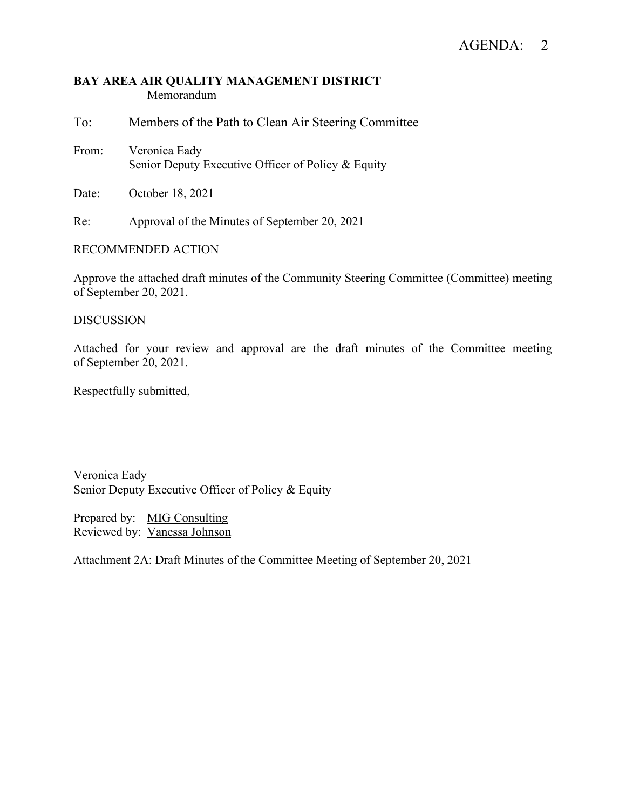#### **BAY AREA AIR QUALITY MANAGEMENT DISTRICT** Memorandum

To: Members of the Path to Clean Air Steering Committee

From: Veronica Eady Senior Deputy Executive Officer of Policy & Equity

Date: October 18, 2021

Re: Approval of the Minutes of September 20, 2021

#### RECOMMENDED ACTION

Approve the attached draft minutes of the Community Steering Committee (Committee) meeting of September 20, 2021.

#### **DISCUSSION**

Attached for your review and approval are the draft minutes of the Committee meeting of September 20, 2021.

Respectfully submitted,

Veronica Eady Senior Deputy Executive Officer of Policy & Equity

Prepared by: MIG Consulting Reviewed by: Vanessa Johnson

Attachment 2A: Draft Minutes of the Committee Meeting of September 20, 2021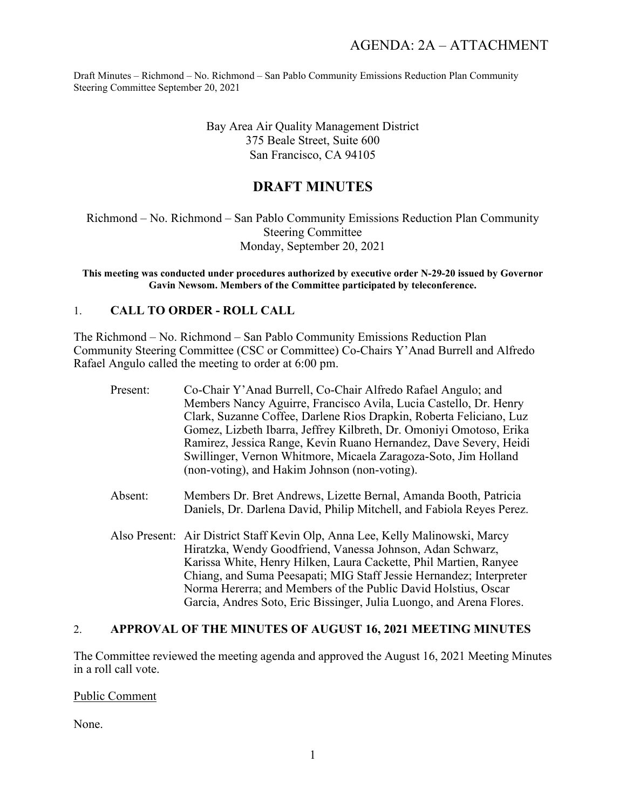> Bay Area Air Quality Management District 375 Beale Street, Suite 600 San Francisco, CA 94105

# **DRAFT MINUTES**

Richmond – No. Richmond – San Pablo Community Emissions Reduction Plan Community Steering Committee Monday, September 20, 2021

**This meeting was conducted under procedures authorized by executive order N-29-20 issued by Governor Gavin Newsom. Members of the Committee participated by teleconference.**

## 1. **CALL TO ORDER - ROLL CALL**

The Richmond – No. Richmond – San Pablo Community Emissions Reduction Plan Community Steering Committee (CSC or Committee) Co-Chairs Y'Anad Burrell and Alfredo Rafael Angulo called the meeting to order at 6:00 pm.

| Present: | Co-Chair Y'Anad Burrell, Co-Chair Alfredo Rafael Angulo; and<br>Members Nancy Aguirre, Francisco Avila, Lucia Castello, Dr. Henry<br>Clark, Suzanne Coffee, Darlene Rios Drapkin, Roberta Feliciano, Luz<br>Gomez, Lizbeth Ibarra, Jeffrey Kilbreth, Dr. Omoniyi Omotoso, Erika<br>Ramirez, Jessica Range, Kevin Ruano Hernandez, Dave Severy, Heidi<br>Swillinger, Vernon Whitmore, Micaela Zaragoza-Soto, Jim Holland<br>(non-voting), and Hakim Johnson (non-voting). |
|----------|--------------------------------------------------------------------------------------------------------------------------------------------------------------------------------------------------------------------------------------------------------------------------------------------------------------------------------------------------------------------------------------------------------------------------------------------------------------------------|
| Absent:  | Members Dr. Bret Andrews, Lizette Bernal, Amanda Booth, Patricia<br>Daniels, Dr. Darlena David, Philip Mitchell, and Fabiola Reyes Perez.                                                                                                                                                                                                                                                                                                                                |
|          | Also Present: Air District Staff Kevin Olp, Anna Lee, Kelly Malinowski, Marcy<br>Hiratzka, Wendy Goodfriend, Vanessa Johnson, Adan Schwarz,<br>Karissa White, Henry Hilken, Laura Cackette, Phil Martien, Ranyee<br>Chiang, and Suma Peesapati; MIG Staff Jessie Hernandez; Interpreter<br>Norma Hererra; and Members of the Public David Holstius, Oscar<br>Garcia, Andres Soto, Eric Bissinger, Julia Luongo, and Arena Flores.                                        |

#### 2. **APPROVAL OF THE MINUTES OF AUGUST 16, 2021 MEETING MINUTES**

The Committee reviewed the meeting agenda and approved the August 16, 2021 Meeting Minutes in a roll call vote.

Public Comment

None.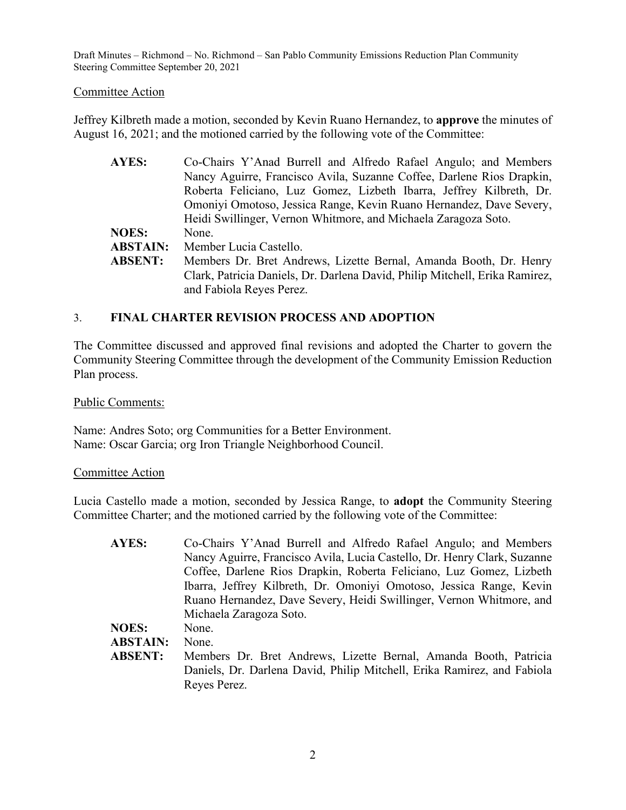#### Committee Action

Jeffrey Kilbreth made a motion, seconded by Kevin Ruano Hernandez, to **approve** the minutes of August 16, 2021; and the motioned carried by the following vote of the Committee:

| <b>AYES:</b>    | Co-Chairs Y'Anad Burrell and Alfredo Rafael Angulo; and Members                                         |
|-----------------|---------------------------------------------------------------------------------------------------------|
|                 | Nancy Aguirre, Francisco Avila, Suzanne Coffee, Darlene Rios Drapkin,                                   |
|                 | Roberta Feliciano, Luz Gomez, Lizbeth Ibarra, Jeffrey Kilbreth, Dr.                                     |
|                 | Omoniyi Omotoso, Jessica Range, Kevin Ruano Hernandez, Dave Severy,                                     |
|                 | Heidi Swillinger, Vernon Whitmore, and Michaela Zaragoza Soto.                                          |
| <b>NOES:</b>    | None.                                                                                                   |
| <b>ABSTAIN:</b> | Member Lucia Castello.                                                                                  |
| <b>ABSENT:</b>  | Members Dr. Bret Andrews, Lizette Bernal, Amanda Booth, Dr. Henry                                       |
|                 | Clark, Patricia Daniels, Dr. Darlena David, Philip Mitchell, Erika Ramirez,<br>and Fabiola Reyes Perez. |

#### 3. **FINAL CHARTER REVISION PROCESS AND ADOPTION**

The Committee discussed and approved final revisions and adopted the Charter to govern the Community Steering Committee through the development of the Community Emission Reduction Plan process.

Public Comments:

Name: Andres Soto; org Communities for a Better Environment. Name: Oscar Garcia; org Iron Triangle Neighborhood Council.

#### Committee Action

Lucia Castello made a motion, seconded by Jessica Range, to **adopt** the Community Steering Committee Charter; and the motioned carried by the following vote of the Committee:

| AYES:           | Co-Chairs Y'Anad Burrell and Alfredo Rafael Angulo; and Members          |
|-----------------|--------------------------------------------------------------------------|
|                 | Nancy Aguirre, Francisco Avila, Lucia Castello, Dr. Henry Clark, Suzanne |
|                 | Coffee, Darlene Rios Drapkin, Roberta Feliciano, Luz Gomez, Lizbeth      |
|                 | Ibarra, Jeffrey Kilbreth, Dr. Omoniyi Omotoso, Jessica Range, Kevin      |
|                 | Ruano Hernandez, Dave Severy, Heidi Swillinger, Vernon Whitmore, and     |
|                 | Michaela Zaragoza Soto.                                                  |
| <b>NOES:</b>    | None.                                                                    |
| <b>ABSTAIN:</b> | None.                                                                    |
| <b>ABSENT:</b>  | Members Dr. Bret Andrews, Lizette Bernal, Amanda Booth, Patricia         |
|                 | Daniels, Dr. Darlena David, Philip Mitchell, Erika Ramirez, and Fabiola  |
|                 | Reyes Perez.                                                             |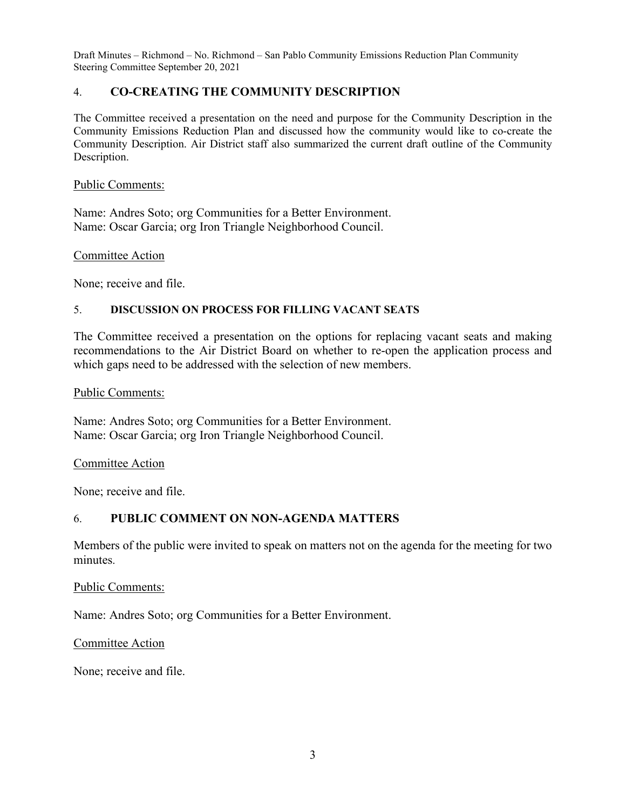# 4. **CO-CREATING THE COMMUNITY DESCRIPTION**

The Committee received a presentation on the need and purpose for the Community Description in the Community Emissions Reduction Plan and discussed how the community would like to co-create the Community Description. Air District staff also summarized the current draft outline of the Community Description.

#### Public Comments:

Name: Andres Soto; org Communities for a Better Environment. Name: Oscar Garcia; org Iron Triangle Neighborhood Council.

Committee Action

None; receive and file.

#### 5. **DISCUSSION ON PROCESS FOR FILLING VACANT SEATS**

The Committee received a presentation on the options for replacing vacant seats and making recommendations to the Air District Board on whether to re-open the application process and which gaps need to be addressed with the selection of new members.

Public Comments:

Name: Andres Soto; org Communities for a Better Environment. Name: Oscar Garcia; org Iron Triangle Neighborhood Council.

#### Committee Action

None; receive and file.

#### 6. **PUBLIC COMMENT ON NON-AGENDA MATTERS**

Members of the public were invited to speak on matters not on the agenda for the meeting for two minutes.

Public Comments:

Name: Andres Soto; org Communities for a Better Environment.

Committee Action

None; receive and file.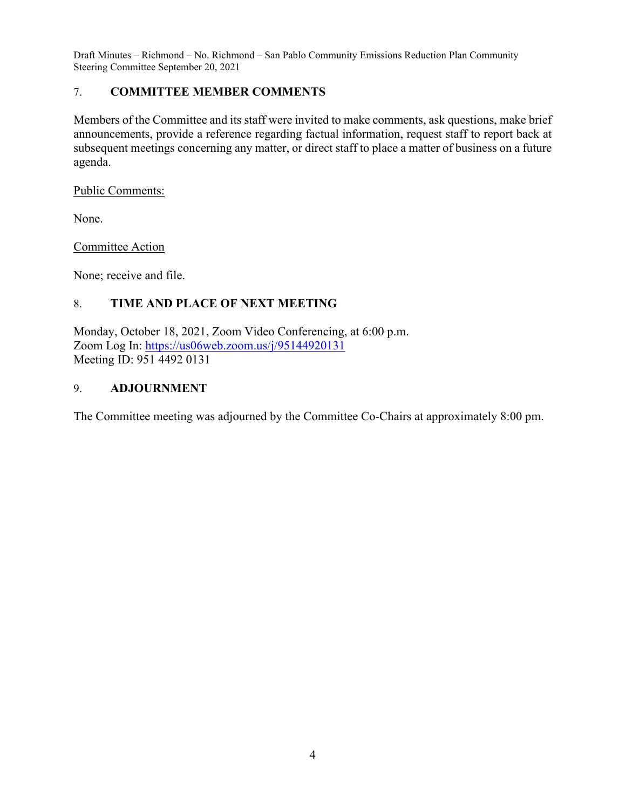# 7. **COMMITTEE MEMBER COMMENTS**

Members of the Committee and its staff were invited to make comments, ask questions, make brief announcements, provide a reference regarding factual information, request staff to report back at subsequent meetings concerning any matter, or direct staff to place a matter of business on a future agenda.

Public Comments:

None.

Committee Action

None; receive and file.

# 8. **TIME AND PLACE OF NEXT MEETING**

Monday, October 18, 2021, Zoom Video Conferencing, at 6:00 p.m. Zoom Log In:<https://us06web.zoom.us/j/95144920131> Meeting ID: 951 4492 0131

# 9. **ADJOURNMENT**

The Committee meeting was adjourned by the Committee Co-Chairs at approximately 8:00 pm.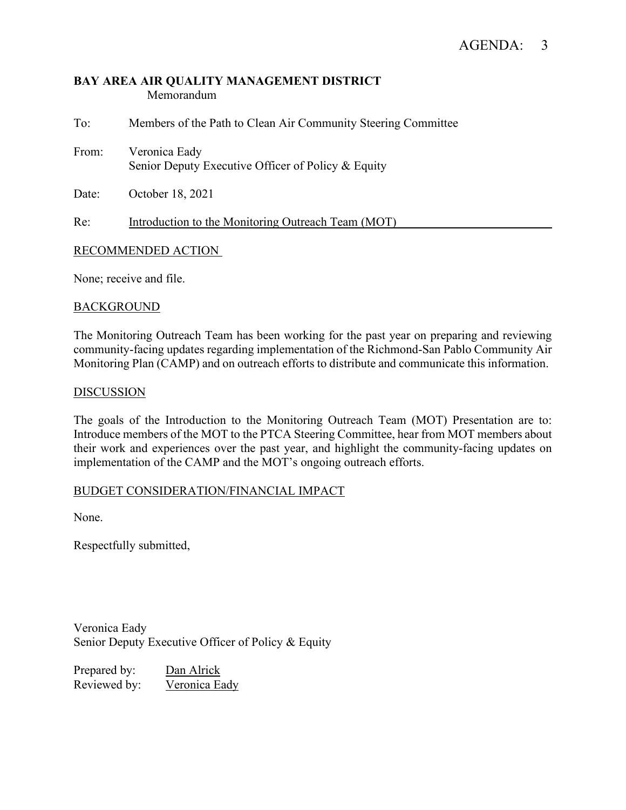#### **BAY AREA AIR QUALITY MANAGEMENT DISTRICT** Memorandum

| To:   | Members of the Path to Clean Air Community Steering Committee       |
|-------|---------------------------------------------------------------------|
| From: | Veronica Eady<br>Senior Deputy Executive Officer of Policy & Equity |
| Date: | October 18, 2021                                                    |
| Re:   | Introduction to the Monitoring Outreach Team (MOT)                  |

# RECOMMENDED ACTION

None; receive and file.

#### BACKGROUND

The Monitoring Outreach Team has been working for the past year on preparing and reviewing community-facing updates regarding implementation of the Richmond-San Pablo Community Air Monitoring Plan (CAMP) and on outreach efforts to distribute and communicate this information.

#### DISCUSSION

The goals of the Introduction to the Monitoring Outreach Team (MOT) Presentation are to: Introduce members of the MOT to the PTCA Steering Committee, hear from MOT members about their work and experiences over the past year, and highlight the community-facing updates on implementation of the CAMP and the MOT's ongoing outreach efforts.

#### BUDGET CONSIDERATION/FINANCIAL IMPACT

None.

Respectfully submitted,

Veronica Eady Senior Deputy Executive Officer of Policy & Equity

Prepared by: Dan Alrick Reviewed by: Veronica Eady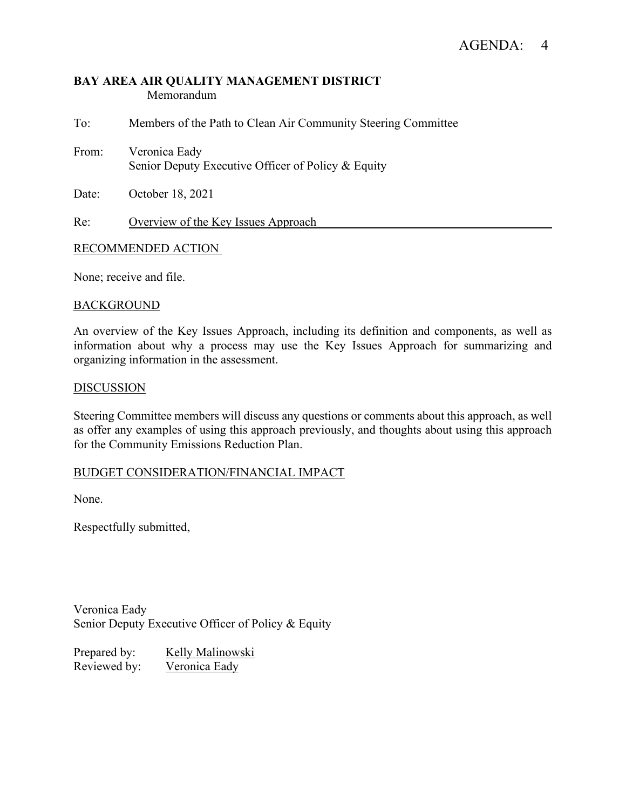#### **BAY AREA AIR QUALITY MANAGEMENT DISTRICT** Memorandum

To: Members of the Path to Clean Air Community Steering Committee From: Veronica Eady Senior Deputy Executive Officer of Policy & Equity Date: October 18, 2021

Re: Overview of the Key Issues Approach

#### RECOMMENDED ACTION

None; receive and file.

#### **BACKGROUND**

An overview of the Key Issues Approach, including its definition and components, as well as information about why a process may use the Key Issues Approach for summarizing and organizing information in the assessment.

#### **DISCUSSION**

Steering Committee members will discuss any questions or comments about this approach, as well as offer any examples of using this approach previously, and thoughts about using this approach for the Community Emissions Reduction Plan.

#### BUDGET CONSIDERATION/FINANCIAL IMPACT

None.

Respectfully submitted,

Veronica Eady Senior Deputy Executive Officer of Policy & Equity

Prepared by: Kelly Malinowski Reviewed by: Veronica Eady